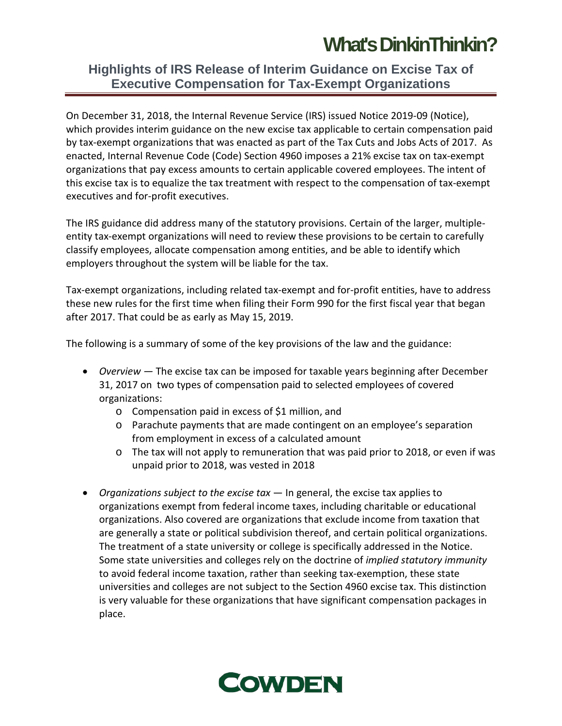## **[What's DinkinThinkin?](https://cowdenconnect.com/)**

### **Highlights of IRS Release of Interim Guidance on Excise Tax of Executive Compensation for Tax-Exempt Organizations**

On December 31, 2018, the Internal Revenue Service (IRS) issued Notice 2019-09 (Notice), which provides interim guidance on the new excise tax applicable to certain compensation paid by tax-exempt organizations that was enacted as part of the Tax Cuts and Jobs Acts of 2017. As enacted, Internal Revenue Code (Code) Section 4960 imposes a 21% excise tax on tax-exempt organizations that pay excess amounts to certain applicable covered employees. The intent of this excise tax is to equalize the tax treatment with respect to the compensation of tax-exempt executives and for-profit executives.

The IRS guidance did address many of the statutory provisions. Certain of the larger, multipleentity tax-exempt organizations will need to review these provisions to be certain to carefully classify employees, allocate compensation among entities, and be able to identify which employers throughout the system will be liable for the tax.

Tax-exempt organizations, including related tax-exempt and for-profit entities, have to address these new rules for the first time when filing their Form 990 for the first fiscal year that began after 2017. That could be as early as May 15, 2019.

The following is a summary of some of the key provisions of the law and the guidance:

- *Overview —* The excise tax can be imposed for taxable years beginning after December 31, 2017 on two types of compensation paid to selected employees of covered organizations:
	- o Compensation paid in excess of \$1 million, and
	- o Parachute payments that are made contingent on an employee's separation from employment in excess of a calculated amount
	- o The tax will not apply to remuneration that was paid prior to 2018, or even if was unpaid prior to 2018, was vested in 2018
- *Organizations subject to the excise tax* In general, the excise tax applies to organizations exempt from federal income taxes, including charitable or educational organizations. Also covered are organizations that exclude income from taxation that are generally a state or political subdivision thereof, and certain political organizations. The treatment of a state university or college is specifically addressed in the Notice. Some state universities and colleges rely on the doctrine of *implied statutory immunity* to avoid federal income taxation, rather than seeking tax-exemption, these state universities and colleges are not subject to the Section 4960 excise tax. This distinction is very valuable for these organizations that have significant compensation packages in place.

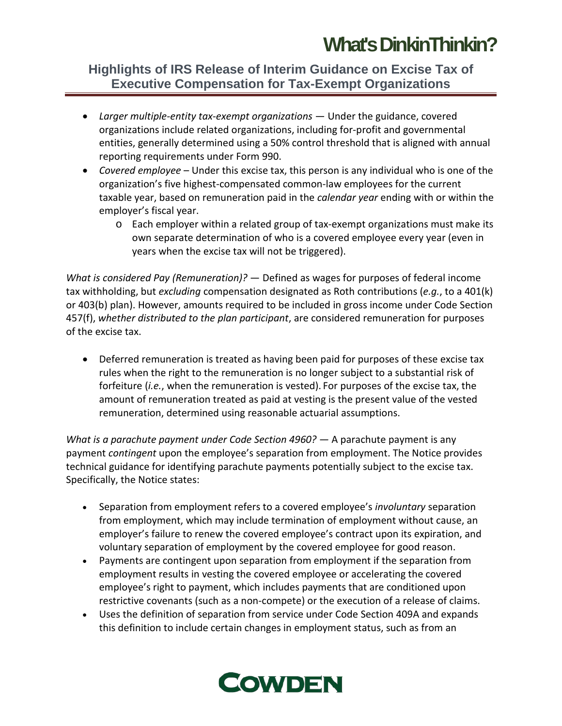# **[What's DinkinThinkin?](https://cowdenconnect.com/)**

### **Highlights of IRS Release of Interim Guidance on Excise Tax of Executive Compensation for Tax-Exempt Organizations**

- *Larger multiple-entity tax-exempt organizations* Under the guidance, covered organizations include related organizations, including for-profit and governmental entities, generally determined using a 50% control threshold that is aligned with annual reporting requirements under Form 990.
- *Covered employee* Under this excise tax, this person is any individual who is one of the organization's five highest-compensated common-law employees for the current taxable year, based on remuneration paid in the *calendar year* ending with or within the employer's fiscal year.
	- o Each employer within a related group of tax-exempt organizations must make its own separate determination of who is a covered employee every year (even in years when the excise tax will not be triggered).

*What is considered Pay (Remuneration)?* — Defined as wages for purposes of federal income tax withholding, but *excluding* compensation designated as Roth contributions (*e.g.*, to a 401(k) or 403(b) plan). However, amounts required to be included in gross income under Code Section 457(f), *whether distributed to the plan participant*, are considered remuneration for purposes of the excise tax.

• Deferred remuneration is treated as having been paid for purposes of these excise tax rules when the right to the remuneration is no longer subject to a substantial risk of forfeiture (*i.e.*, when the remuneration is vested). For purposes of the excise tax, the amount of remuneration treated as paid at vesting is the present value of the vested remuneration, determined using reasonable actuarial assumptions.

*What is a parachute payment under Code Section 4960? —* A parachute payment is any payment *contingent* upon the employee's separation from employment. The Notice provides technical guidance for identifying parachute payments potentially subject to the excise tax. Specifically, the Notice states:

- Separation from employment refers to a covered employee's *involuntary* separation from employment, which may include termination of employment without cause, an employer's failure to renew the covered employee's contract upon its expiration, and voluntary separation of employment by the covered employee for good reason.
- Payments are contingent upon separation from employment if the separation from employment results in vesting the covered employee or accelerating the covered employee's right to payment, which includes payments that are conditioned upon restrictive covenants (such as a non-compete) or the execution of a release of claims.
- Uses the definition of separation from service under Code Section 409A and expands this definition to include certain changes in employment status, such as from an